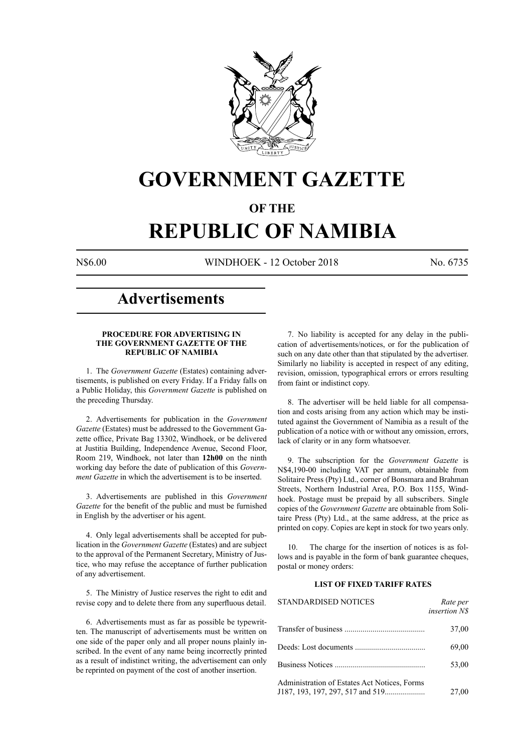

## **GOVERNMENT GAZETTE**

## **OF THE**

# **REPUBLIC OF NAMIBIA**

N\$6.00 WINDHOEK - 12 October 2018 No. 6735

## **Advertisements**

#### **PROCEDURE FOR ADVERTISING IN THE GOVERNMENT GAZETTE OF THE REPUBLIC OF NAMIBIA**

1. The *Government Gazette* (Estates) containing advertisements, is published on every Friday. If a Friday falls on a Public Holiday, this *Government Gazette* is published on the preceding Thursday.

2. Advertisements for publication in the *Government Gazette* (Estates) must be addressed to the Government Gazette office, Private Bag 13302, Windhoek, or be delivered at Justitia Building, Independence Avenue, Second Floor, Room 219, Windhoek, not later than **12h00** on the ninth working day before the date of publication of this *Government Gazette* in which the advertisement is to be inserted.

3. Advertisements are published in this *Government Gazette* for the benefit of the public and must be furnished in English by the advertiser or his agent.

4. Only legal advertisements shall be accepted for publication in the *Government Gazette* (Estates) and are subject to the approval of the Permanent Secretary, Ministry of Justice, who may refuse the acceptance of further publication of any advertisement.

5. The Ministry of Justice reserves the right to edit and revise copy and to delete there from any superfluous detail.

6. Advertisements must as far as possible be typewritten. The manuscript of advertisements must be written on one side of the paper only and all proper nouns plainly inscribed. In the event of any name being incorrectly printed as a result of indistinct writing, the advertisement can only be reprinted on payment of the cost of another insertion.

7. No liability is accepted for any delay in the publication of advertisements/notices, or for the publication of such on any date other than that stipulated by the advertiser. Similarly no liability is accepted in respect of any editing, revision, omission, typographical errors or errors resulting from faint or indistinct copy.

8. The advertiser will be held liable for all compensation and costs arising from any action which may be instituted against the Government of Namibia as a result of the publication of a notice with or without any omission, errors, lack of clarity or in any form whatsoever.

9. The subscription for the *Government Gazette* is N\$4,190-00 including VAT per annum, obtainable from Solitaire Press (Pty) Ltd., corner of Bonsmara and Brahman Streets, Northern Industrial Area, P.O. Box 1155, Windhoek. Postage must be prepaid by all subscribers. Single copies of the *Government Gazette* are obtainable from Solitaire Press (Pty) Ltd., at the same address, at the price as printed on copy. Copies are kept in stock for two years only.

10. The charge for the insertion of notices is as follows and is payable in the form of bank guarantee cheques, postal or money orders:

## **LIST OF FIXED TARIFF RATES**

| <b>STANDARDISED NOTICES</b>                  | Rate per<br><i>insertion NS</i> |
|----------------------------------------------|---------------------------------|
|                                              | 37,00                           |
|                                              | 69,00                           |
|                                              | 53,00                           |
| Administration of Estates Act Notices, Forms | 27,00                           |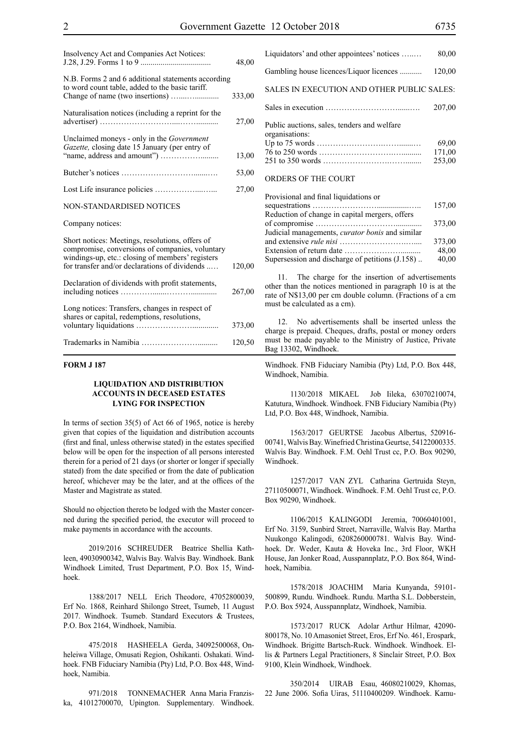| Insolvency Act and Companies Act Notices:                                                                                                                                                               | 48,00  |
|---------------------------------------------------------------------------------------------------------------------------------------------------------------------------------------------------------|--------|
| N.B. Forms 2 and 6 additional statements according<br>to word count table, added to the basic tariff.                                                                                                   | 333,00 |
| Naturalisation notices (including a reprint for the                                                                                                                                                     | 27,00  |
| Unclaimed moneys - only in the <i>Government</i><br>Gazette, closing date 15 January (per entry of                                                                                                      | 13,00  |
|                                                                                                                                                                                                         | 53,00  |
|                                                                                                                                                                                                         | 27,00  |
| NON-STANDARDISED NOTICES                                                                                                                                                                                |        |
| Company notices:                                                                                                                                                                                        |        |
| Short notices: Meetings, resolutions, offers of<br>compromise, conversions of companies, voluntary<br>windings-up, etc.: closing of members' registers<br>for transfer and/or declarations of dividends | 120,00 |
| Declaration of dividends with profit statements,                                                                                                                                                        | 267,00 |
| Long notices: Transfers, changes in respect of<br>shares or capital, redemptions, resolutions,                                                                                                          | 373,00 |
|                                                                                                                                                                                                         | 120,50 |

#### **FORM J 187**

#### **LIQUIDATION AND DISTRIBUTION ACCOUNTS IN DECEASED ESTATES LYING FOR INSPECTION**

In terms of section 35(5) of Act 66 of 1965, notice is hereby given that copies of the liquidation and distribution accounts (first and final, unless otherwise stated) in the estates specified below will be open for the inspection of all persons interested therein for a period of 21 days (or shorter or longer if specially stated) from the date specified or from the date of publication hereof, whichever may be the later, and at the offices of the Master and Magistrate as stated.

Should no objection thereto be lodged with the Master concerned during the specified period, the executor will proceed to make payments in accordance with the accounts.

2019/2016 SCHREUDER Beatrice Shellia Kathleen, 49030900342, Walvis Bay. Walvis Bay. Windhoek. Bank Windhoek Limited, Trust Department, P.O. Box 15, Windhoek.

1388/2017 NELL Erich Theodore, 47052800039, Erf No. 1868, Reinhard Shilongo Street, Tsumeb, 11 August 2017. Windhoek. Tsumeb. Standard Executors & Trustees, P.O. Box 2164, Windhoek, Namibia.

475/2018 HASHEELA Gerda, 34092500068, Onheleiwa Village, Omusati Region, Oshikanti. Oshakati. Windhoek. FNB Fiduciary Namibia (Pty) Ltd, P.O. Box 448, Windhoek, Namibia.

971/2018 TONNEMACHER Anna Maria Franziska, 41012700070, Upington. Supplementary. Windhoek.

| Liquidators' and other appointees' notices                    | 80,00                     |
|---------------------------------------------------------------|---------------------------|
| Gambling house licences/Liquor licences                       | 120,00                    |
| SALES IN EXECUTION AND OTHER PUBLIC SALES:                    |                           |
|                                                               | 207,00                    |
| Public auctions, sales, tenders and welfare<br>organisations: | 69.00<br>171,00<br>253,00 |
| ORDERS OF THE COURT                                           |                           |

| Provisional and final liquidations or                  |        |
|--------------------------------------------------------|--------|
|                                                        | 157,00 |
| Reduction of change in capital mergers, offers         |        |
|                                                        | 373,00 |
| Judicial managements, <i>curator bonis</i> and similar |        |
|                                                        | 373,00 |
|                                                        | 48,00  |
| Supersession and discharge of petitions (J.158)        | 40,00  |
|                                                        |        |

11. The charge for the insertion of advertisements other than the notices mentioned in paragraph 10 is at the rate of N\$13,00 per cm double column. (Fractions of a cm must be calculated as a cm).

12. No advertisements shall be inserted unless the charge is prepaid. Cheques, drafts, postal or money orders must be made payable to the Ministry of Justice, Private Bag 13302, Windhoek.

Windhoek. FNB Fiduciary Namibia (Pty) Ltd, P.O. Box 448, Windhoek, Namibia.

1130/2018 MIKAEL Job Iileka, 63070210074, Katutura, Windhoek. Windhoek. FNB Fiduciary Namibia (Pty) Ltd, P.O. Box 448, Windhoek, Namibia.

1563/2017 GEURTSE Jacobus Albertus, 520916- 00741, Walvis Bay. Winefried Christina Geurtse, 54122000335. Walvis Bay. Windhoek. F.M. Oehl Trust cc, P.O. Box 90290, Windhoek.

1257/2017 VAN ZYL Catharina Gertruida Steyn, 27110500071, Windhoek. Windhoek. F.M. Oehl Trust cc, P.O. Box 90290, Windhoek.

1106/2015 KALINGODI Jeremia, 70060401001, Erf No. 3159, Sunbird Street, Narraville, Walvis Bay. Martha Nuukongo Kalingodi, 6208260000781. Walvis Bay. Windhoek. Dr. Weder, Kauta & Hoveka Inc., 3rd Floor, WKH House, Jan Jonker Road, Ausspannplatz, P.O. Box 864, Windhoek, Namibia.

1578/2018 JOACHIM Maria Kunyanda, 59101- 500899, Rundu. Windhoek. Rundu. Martha S.L. Dobberstein, P.O. Box 5924, Ausspannplatz, Windhoek, Namibia.

1573/2017 RUCK Adolar Arthur Hilmar, 42090- 800178, No. 10 Amasoniet Street, Eros, Erf No. 461, Erospark, Windhoek. Brigitte Bartsch-Ruck. Windhoek. Windhoek. Ellis & Partners Legal Practitioners, 8 Sinclair Street, P.O. Box 9100, Klein Windhoek, Windhoek.

350/2014 UIRAB Esau, 46080210029, Khomas, 22 June 2006. Sofia Uiras, 51110400209. Windhoek. Kamu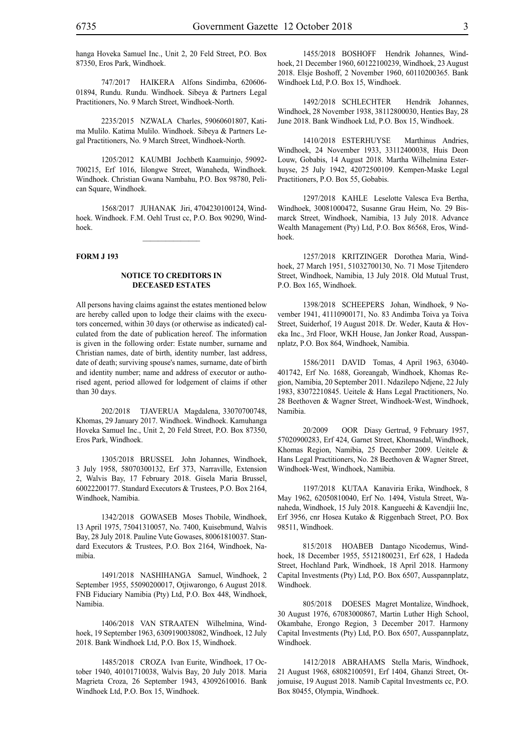hanga Hoveka Samuel Inc., Unit 2, 20 Feld Street, P.O. Box 87350, Eros Park, Windhoek.

747/2017 HAIKERA Alfons Sindimba, 620606- 01894, Rundu. Rundu. Windhoek. Sibeya & Partners Legal Practitioners, No. 9 March Street, Windhoek-North.

2235/2015 NZWALA Charles, 59060601807, Katima Mulilo. Katima Mulilo. Windhoek. Sibeya & Partners Legal Practitioners, No. 9 March Street, Windhoek-North.

1205/2012 KAUMBI Jochbeth Kaamuinjo, 59092- 700215, Erf 1016, Iilongwe Street, Wanaheda, Windhoek. Windhoek. Christian Gwana Nambahu, P.O. Box 98780, Pelican Square, Windhoek.

1568/2017 JUHANAK Jiri, 4704230100124, Windhoek. Windhoek. F.M. Oehl Trust cc, P.O. Box 90290, Windhoek.

#### **FORM J 193**

#### **NOTICE TO CREDITORS IN DECEASED ESTATES**

All persons having claims against the estates mentioned below are hereby called upon to lodge their claims with the executors concerned, within 30 days (or otherwise as indicated) calculated from the date of publication hereof. The information is given in the following order: Estate number, surname and Christian names, date of birth, identity number, last address, date of death; surviving spouse's names, surname, date of birth and identity number; name and address of executor or authorised agent, period allowed for lodgement of claims if other than 30 days.

202/2018 TJAVERUA Magdalena, 33070700748, Khomas, 29 January 2017. Windhoek. Windhoek. Kamuhanga Hoveka Samuel Inc., Unit 2, 20 Feld Street, P.O. Box 87350, Eros Park, Windhoek.

1305/2018 BRUSSEL John Johannes, Windhoek, 3 July 1958, 58070300132, Erf 373, Narraville, Extension 2, Walvis Bay, 17 February 2018. Gisela Maria Brussel, 60022200177. Standard Executors & Trustees, P.O. Box 2164, Windhoek, Namibia.

1342/2018 GOWASEB Moses Thobile, Windhoek, 13 April 1975, 75041310057, No. 7400, Kuisebmund, Walvis Bay, 28 July 2018. Pauline Vute Gowases, 80061810037. Standard Executors & Trustees, P.O. Box 2164, Windhoek, Namibia.

1491/2018 NASHIHANGA Samuel, Windhoek, 2 September 1955, 55090200017, Otjiwarongo, 6 August 2018. FNB Fiduciary Namibia (Pty) Ltd, P.O. Box 448, Windhoek, Namibia.

1406/2018 VAN STRAATEN Wilhelmina, Windhoek, 19 September 1963, 6309190038082, Windhoek, 12 July 2018. Bank Windhoek Ltd, P.O. Box 15, Windhoek.

1485/2018 CROZA Ivan Eurite, Windhoek, 17 October 1940, 40101710038, Walvis Bay, 20 July 2018. Maria Magrieta Croza, 26 September 1943, 43092610016. Bank Windhoek Ltd, P.O. Box 15, Windhoek.

1455/2018 BOSHOFF Hendrik Johannes, Windhoek, 21 December 1960, 60122100239, Windhoek, 23 August 2018. Elsje Boshoff, 2 November 1960, 60110200365. Bank Windhoek Ltd, P.O. Box 15, Windhoek.

1492/2018 SCHLECHTER Hendrik Johannes, Windhoek, 28 November 1938, 38112800030, Henties Bay, 28 June 2018. Bank Windhoek Ltd, P.O. Box 15, Windhoek.

1410/2018 ESTERHUYSE Marthinus Andries, Windhoek, 24 November 1933, 33112400038, Huis Deon Louw, Gobabis, 14 August 2018. Martha Wilhelmina Esterhuyse, 25 July 1942, 42072500109. Kempen-Maske Legal Practitioners, P.O. Box 55, Gobabis.

1297/2018 KAHLE Leselotte Valesca Eva Bertha, Windhoek, 30081000472, Susanne Grau Heim, No. 29 Bismarck Street, Windhoek, Namibia, 13 July 2018. Advance Wealth Management (Pty) Ltd, P.O. Box 86568, Eros, Windhoek.

1257/2018 KRITZINGER Dorothea Maria, Windhoek, 27 March 1951, 51032700130, No. 71 Mose Tjitendero Street, Windhoek, Namibia, 13 July 2018. Old Mutual Trust, P.O. Box 165, Windhoek.

1398/2018 SCHEEPERS Johan, Windhoek, 9 November 1941, 41110900171, No. 83 Andimba Toiva ya Toiva Street, Suiderhof, 19 August 2018. Dr. Weder, Kauta & Hoveka Inc., 3rd Floor, WKH House, Jan Jonker Road, Ausspannplatz, P.O. Box 864, Windhoek, Namibia.

1586/2011 DAVID Tomas, 4 April 1963, 63040- 401742, Erf No. 1688, Goreangab, Windhoek, Khomas Region, Namibia, 20 September 2011. Ndazilepo Ndjene, 22 July 1983, 83072210845. Ueitele & Hans Legal Practitioners, No. 28 Beethoven & Wagner Street, Windhoek-West, Windhoek, Namibia.

20/2009 OOR Diasy Gertrud, 9 February 1957, 57020900283, Erf 424, Garnet Street, Khomasdal, Windhoek, Khomas Region, Namibia, 25 December 2009. Ueitele & Hans Legal Practitioners, No. 28 Beethoven & Wagner Street, Windhoek-West, Windhoek, Namibia.

1197/2018 KUTAA Kanaviria Erika, Windhoek, 8 May 1962, 62050810040, Erf No. 1494, Vistula Street, Wanaheda, Windhoek, 15 July 2018. Kangueehi & Kavendjii Inc, Erf 3956, cnr Hosea Kutako & Riggenbach Street, P.O. Box 98511, Windhoek.

815/2018 HOABEB Dantago Nicodemus, Windhoek, 18 December 1955, 55121800231, Erf 628, 1 Hadeda Street, Hochland Park, Windhoek, 18 April 2018. Harmony Capital Investments (Pty) Ltd, P.O. Box 6507, Ausspannplatz, Windhoek.

805/2018 DOESES Magret Montalize, Windhoek, 30 August 1976, 67083000867, Martin Luther High School, Okambahe, Erongo Region, 3 December 2017. Harmony Capital Investments (Pty) Ltd, P.O. Box 6507, Ausspannplatz, Windhoek.

1412/2018 ABRAHAMS Stella Maris, Windhoek, 21 August 1968, 68082100591, Erf 1404, Ghanzi Street, Otjomuise, 19 August 2018. Namib Capital Investments cc, P.O. Box 80455, Olympia, Windhoek.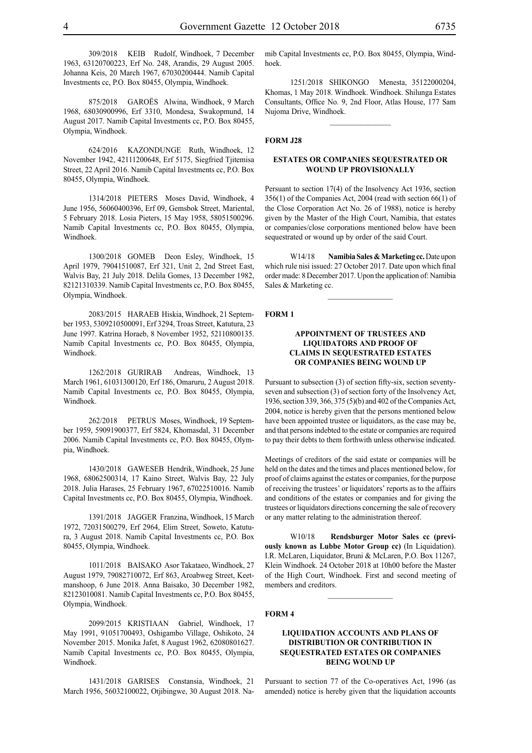309/2018 KEIB Rudolf, Windhoek, 7 December 1963, 63120700223, Erf No. 248, Arandis, 29 August 2005. Johanna Keis, 20 March 1967, 67030200444. Namib Capital Investments cc, P.O. Box 80455, Olympia, Windhoek.

875/2018 GAROËS Alwina, Windhoek, 9 March 1968, 68030900996, Erf 3310, Mondesa, Swakopmund, 14 August 2017. Namib Capital Investments cc, P.O. Box 80455, Olympia, Windhoek.

624/2016 KAZONDUNGE Ruth, Windhoek, 12 November 1942, 42111200648, Erf 5175, Siegfried Tjitemisa Street, 22 April 2016. Namib Capital Investments cc, P.O. Box 80455, Olympia, Windhoek.

1314/2018 PIETERS Moses David, Windhoek, 4 June 1956, 56060400396, Erf 09, Gemsbok Street, Mariental, 5 February 2018. Losia Pieters, 15 May 1958, 58051500296. Namib Capital Investments cc, P.O. Box 80455, Olympia, Windhoek.

1300/2018 GOMEB Deon Esley, Windhoek, 15 April 1979, 79041510087, Erf 321, Unit 2, 2nd Street East, Walvis Bay, 21 July 2018. Delila Gomes, 13 December 1982, 82121310339. Namib Capital Investments cc, P.O. Box 80455, Olympia, Windhoek.

2083/2015 HARAEB Hiskia, Windhoek, 21 September 1953, 5309210500091, Erf 3294, Troas Street, Katutura, 23 June 1997. Katrina Horaeb, 8 November 1952, 52110800135. Namib Capital Investments cc, P.O. Box 80455, Olympia, Windhoek.

1262/2018 GURIRAB Andreas, Windhoek, 13 March 1961, 61031300120, Erf 186, Omaruru, 2 August 2018. Namib Capital Investments cc, P.O. Box 80455, Olympia, Windhoek.

262/2018 PETRUS Moses, Windhoek, 19 September 1959, 59091900377, Erf 5824, Khomasdal, 31 December 2006. Namib Capital Investments cc, P.O. Box 80455, Olympia, Windhoek.

1430/2018 GAWESEB Hendrik, Windhoek, 25 June 1968, 68062500314, 17 Kaino Street, Walvis Bay, 22 July 2018. Julia Harases, 25 February 1967, 67022510016. Namib Capital Investments cc, P.O. Box 80455, Olympia, Windhoek.

1391/2018 JAGGER Franzina, Windhoek, 15 March 1972, 72031500279, Erf 2964, Elim Street, Soweto, Katutura, 3 August 2018. Namib Capital Investments cc, P.O. Box 80455, Olympia, Windhoek.

1011/2018 BAISAKO Asor Takataeo, Windhoek, 27 August 1979, 79082710072, Erf 863, Aroabweg Street, Keetmanshoop, 6 June 2018. Anna Baisako, 30 December 1982, 82123010081. Namib Capital Investments cc, P.O. Box 80455, Olympia, Windhoek.

2099/2015 KRISTIAAN Gabriel, Windhoek, 17 May 1991, 91051700493, Oshigambo Village, Oshikoto, 24 November 2015. Monika Jafet, 8 August 1962, 62080801627. Namib Capital Investments cc, P.O. Box 80455, Olympia, Windhoek.

1431/2018 GARISES Constansia, Windhoek, 21 March 1956, 56032100022, Otjibingwe, 30 August 2018. Namib Capital Investments cc, P.O. Box 80455, Olympia, Windhoek.

1251/2018 SHIKONGO Menesta, 35122000204, Khomas, 1 May 2018. Windhoek. Windhoek. Shilunga Estates Consultants, Office No. 9, 2nd Floor, Atlas House, 177 Sam Nujoma Drive, Windhoek.

 $\frac{1}{2}$ 

#### **FORM J28**

#### **ESTATES OR COMPANIES SEQUESTRATED OR WOUND UP PROVISIONALLY**

Persuant to section 17(4) of the Insolvency Act 1936, section 356(1) of the Companies Act, 2004 (read with section 66(1) of the Close Corporation Act No. 26 of 1988), notice is hereby given by the Master of the High Court, Namibia, that estates or companies/close corporations mentioned below have been sequestrated or wound up by order of the said Court.

W14/18 **Namibia Sales & Marketing cc.** Date upon which rule nisi issued: 27 October 2017. Date upon which final order made: 8 December 2017. Upon the application of: Namibia Sales & Marketing cc.

 $\frac{1}{2}$ 

## **FORM 1**

## **APPOINTMENT OF TRUSTEES AND LIQUIDATORS AND PROOF OF CLAIMS IN SEQUESTRATED ESTATES OR COMPANIES BEING WOUND UP**

Pursuant to subsection (3) of section fifty-six, section seventyseven and subsection (3) of section forty of the Insolvency Act, 1936, section 339, 366, 375 (5)(b) and 402 of the Companies Act, 2004, notice is hereby given that the persons mentioned below have been appointed trustee or liquidators, as the case may be, and that persons indebted to the estate or companies are required to pay their debts to them forthwith unless otherwise indicated.

Meetings of creditors of the said estate or companies will be held on the dates and the times and places mentioned below, for proof of claims against the estates or companies, for the purpose of receiving the trustees' or liquidators' reports as to the affairs and conditions of the estates or companies and for giving the trustees or liquidators directions concerning the sale of recovery or any matter relating to the administration thereof.

W10/18 **Rendsburger Motor Sales cc (previously known as Lubbe Motor Group cc)** (In Liquidation). I.R. McLaren, Liquidator, Bruni & McLaren, P.O. Box 11267, Klein Windhoek. 24 October 2018 at 10h00 before the Master of the High Court, Windhoek. First and second meeting of members and creditors.

#### **FORM 4**

## **LIQUIDATION ACCOUNTS AND PLANS OF DISTRIBUTION OR CONTRIBUTION IN SEQUESTRATED ESTATES OR COMPANIES BEING WOUND UP**

Pursuant to section 77 of the Co-operatives Act, 1996 (as amended) notice is hereby given that the liquidation accounts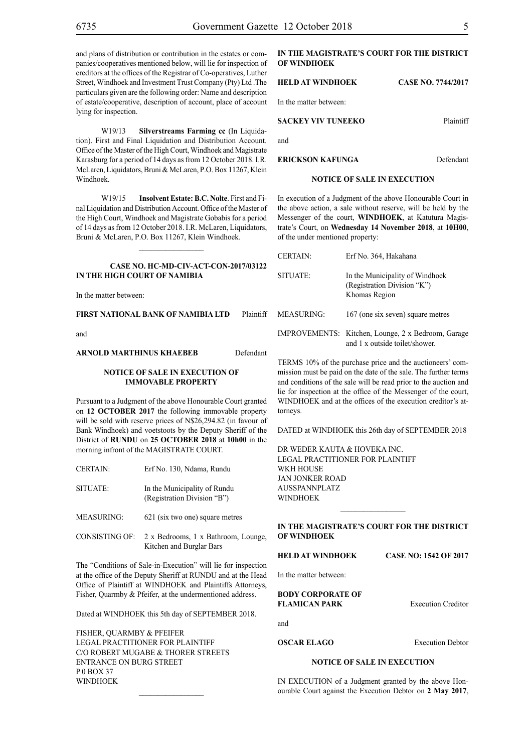and plans of distribution or contribution in the estates or companies/cooperatives mentioned below, will lie for inspection of creditors at the offices of the Registrar of Co-operatives, Luther Street, Windhoek and Investment Trust Company (Pty) Ltd .The particulars given are the following order: Name and description of estate/cooperative, description of account, place of account lying for inspection.

W19/13 **Silverstreams Farming cc** (In Liquidation). First and Final Liquidation and Distribution Account. Office of the Master of the High Court, Windhoek and Magistrate Karasburg for a period of 14 days as from 12 October 2018. I.R. McLaren, Liquidators, Bruni & McLaren, P.O. Box 11267, Klein Windhoek.

W19/15 **Insolvent Estate: B.C. Nolte**. First and Final Liquidation and Distribution Account. Office of the Master of the High Court, Windhoek and Magistrate Gobabis for a period of 14 days as from 12 October 2018. I.R. McLaren, Liquidators, Bruni & McLaren, P.O. Box 11267, Klein Windhoek.

## **CASE No. HC-MD-CIV-ACT-CON-2017/03122 IN THE HIGH COURT OF NAMIBIA**

 $\frac{1}{2}$ 

In the matter between:

**FIRST NATIONAL BANK OF NAMIBIA LTD** Plaintiff

and

#### **ARNOLD MARTHINUS KHAEBEB** Defendant

## **NOTICE OF SALE IN EXECUTION OF IMMOVABLE PROPERTY**

Pursuant to a Judgment of the above Honourable Court granted on **12 OCTOBER 2017** the following immovable property will be sold with reserve prices of N\$26,294.82 (in favour of Bank Windhoek) and voetstoots by the Deputy Sheriff of the District of **RUNDU** on **25 OCTOBER 2018** at **10h00** in the morning infront of the MAGISTRATE COURT.

SITUATE: In the Municipality of Rundu (Registration Division "B")

- MEASURING: 621 (six two one) square metres
- CONSISTING OF: 2 x Bedrooms, 1 x Bathroom, Lounge, Kitchen and Burglar Bars

The "Conditions of Sale-in-Execution" will lie for inspection at the office of the Deputy Sheriff at RUNDU and at the Head Office of Plaintiff at WINDHOEK and Plaintiffs Attorneys, Fisher, Quarmby & Pfeifer, at the undermentioned address.

Dated at WINDHOEK this 5th day of SEPTEMBER 2018.

FISHER, QUARMBY & PFEIFER LEGAL PRACTITIONER FOR Plaintiff c/o Robert Mugabe & Thorer Streets entrance on Burg Street P 0 Box 37 **WINDHOFK** 

## **IN THE MAGISTRATE'S COURT FOR THE DISTRICT OF WINDHOEK**

#### **HELD AT WINDHOEK CASE NO. 7744/2017**

In the matter between:

## **SACKEY VIV TUNEEKO** Plaintiff

and

**ERICKSON KAFUNGA** Defendant

## **NOTICE OF SALE IN EXECUTION**

In execution of a Judgment of the above Honourable Court in the above action, a sale without reserve, will be held by the Messenger of the court, **WINDHOEK**, at Katutura Magistrate's Court, on **Wednesday 14 November 2018**, at **10H00**, of the under mentioned property:

| <b>CERTAIN:</b> | Erf No. 364, Hakahana                                                               |
|-----------------|-------------------------------------------------------------------------------------|
| SITUATE:        | In the Municipality of Windhoek<br>(Registration Division "K")<br>Khomas Region     |
| MEASURING:      | 167 (one six seven) square metres                                                   |
|                 | IMPROVEMENTS: Kitchen, Lounge, 2 x Bedroom, Garage<br>and 1 x outside toilet/shower |

TERMS 10% of the purchase price and the auctioneers' commission must be paid on the date of the sale. The further terms and conditions of the sale will be read prior to the auction and lie for inspection at the office of the Messenger of the court, WINDHOEK and at the offices of the execution creditor's attorneys.

DATED at WINDHOEK this 26th day of SEPTEMBER 2018

DR WEDER KAUTA & HOVEKA INC. Legal Practitioner for Plaintiff WKH HOUSE Jan Jonker Road Ausspannplatz **WINDHOEK** 

## **IN THE MAGISTRATE'S COURT FOR THE DISTRICT OF WINDHOEK**

 $\frac{1}{2}$ 

## **HELD AT WINDHOEK CASE NO: 1542 OF 2017**

In the matter between:

**BODY CORPORATE OF FLAMICAN PARK** Execution Creditor

and

**OSCAR ELAGO** Execution Debtor

## **NOTICE OF SALE IN EXECUTION**

IN EXECUTION of a Judgment granted by the above Honourable Court against the Execution Debtor on **2 May 2017**,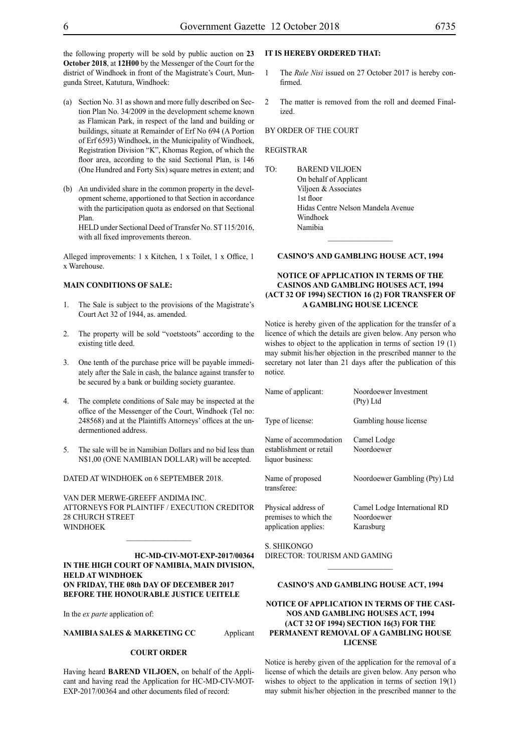the following property will be sold by public auction on **23 October 2018**, at **12H00** by the Messenger of the Court for the district of Windhoek in front of the Magistrate's Court, Mungunda Street, Katutura, Windhoek:

- (a) Section No. 31 as shown and more fully described on Section Plan No. 34/2009 in the development scheme known as Flamican Park, in respect of the land and building or buildings, situate at Remainder of Erf No 694 (A Portion of Erf 6593) Windhoek, in the Municipality of Windhoek, Registration Division "K", Khomas Region, of which the floor area, according to the said Sectional Plan, is 146 (One Hundred and Forty Six) square metres in extent; and
- (b) An undivided share in the common property in the development scheme, apportioned to that Section in accordance with the participation quota as endorsed on that Sectional Plan.

HELD under Sectional Deed of Transfer No. ST 115/2016, with all fixed improvements thereon.

Alleged improvements: 1 x Kitchen, 1 x Toilet, 1 x Office, 1 x Warehouse.

#### **MAIN CONDITIONS OF SALE:**

- 1. The Sale is subject to the provisions of the Magistrate's Court Act 32 of 1944, as. amended.
- 2. The property will be sold "voetstoots" according to the existing title deed.
- 3. One tenth of the purchase price will be payable immediately after the Sale in cash, the balance against transfer to be secured by a bank or building society guarantee.
- 4. The complete conditions of Sale may be inspected at the office of the Messenger of the Court, Windhoek (Tel no: 248568) and at the Plaintiffs Attorneys' offices at the undermentioned address.
- 5. The sale will be in Namibian Dollars and no bid less than N\$1,00 (ONE NAMIBIAN DOLLAR) will be accepted.

DATED AT WINDHOEK on 6 SEPTEMBER 2018.

VAN DER MERWE-GREEFF ANDIMA INC. ATTORNEYS FOR Plaintiff / EXECUTION CREDITOR 28 CHURCH STREET WINDHOEK

 $\mathcal{L}_\text{max}$ 

**HC-MD-CIV-MOT-EXP-2017/00364 IN THE HIGH COURT OF NAMIBIA, MAIN DIVISION, HELD AT WINDHOEK ON FRIDAY, THE 08th DAY OF DECEMBER 2017 BEFORE THE HONOURABLE JUSTICE UEITELE**

In the *ex parte* application of:

**NAMIBIA SALES & MARKETING CC** Applicant

#### **COURT ORDER**

Having heard **BAREND VILJOEN,** on behalf of the Applicant and having read the Application for HC-MD-CIV-MOT-EXP-2017/00364 and other documents filed of record:

## **IT IS HEREBY ORDERED THAT:**

- The *Rule Nisi* issued on 27 October 2017 is hereby confirmed.
- 2 The matter is removed from the roll and deemed Finalized.

#### BY ORDER OF THE COURT

#### REGISTRAR

TO: BAREND VILJOEN On behalf of Applicant Viljoen & Associates 1st floor Hidas Centre Nelson Mandela Avenue Windhoek Namibia

#### **CASINO'S AND GAMBLING HOUSE ACT, 1994**

 $\frac{1}{2}$ 

## **NOTICE OF APPLICATION IN TERMS OF THE CASINOS AND GAMBLING HOUSES ACT, 1994 (ACT 32 OF 1994) SECTION 16 (2) FOR TRANSFER OF A GAMBLING HOUSE LICENCE**

Notice is hereby given of the application for the transfer of a licence of which the details are given below. Any person who wishes to object to the application in terms of section 19 (1) may submit his/her objection in the prescribed manner to the secretary not later than 21 days after the publication of this notice.

| Name of applicant:                                                   | Noordoewer Investment<br>(Pty) Ltd                      |
|----------------------------------------------------------------------|---------------------------------------------------------|
| Type of license:                                                     | Gambling house license                                  |
| Name of accommodation<br>establishment or retail<br>liquor business: | Camel Lodge<br>Noordoewer                               |
| Name of proposed<br>transferee:                                      | Noordoewer Gambling (Pty) Ltd                           |
| Physical address of<br>premises to which the<br>application applies: | Camel Lodge International RD<br>Noordoewer<br>Karasburg |

 $S$ . SHIKONGO Director: Tourism and Gaming

#### **CASINO'S AND GAMBLING HOUSE ACT, 1994**

 $\mathcal{L}_\text{max}$ 

## **NOTICE OF APPLICATION IN TERMS OF THE CASI-NOS AND GAMBLING HOUSES ACT, 1994 (ACT 32 OF 1994) SECTION 16(3) FOR THE PERMANENT REMOVAL OF A GAMBLING HOUSE LICENSE**

Notice is hereby given of the application for the removal of a license of which the details are given below. Any person who wishes to object to the application in terms of section 19(1) may submit his/her objection in the prescribed manner to the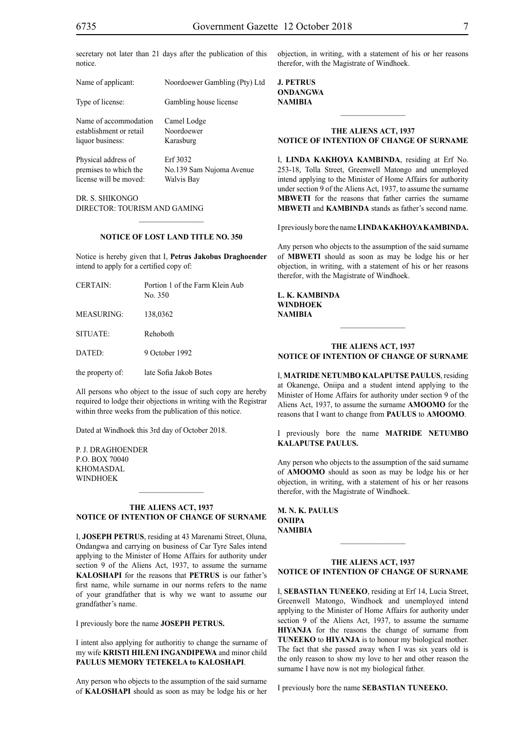secretary not later than 21 days after the publication of this notice.

| Name of applicant:      | Noordoewer Gambling (Pty) Ltd |
|-------------------------|-------------------------------|
| Type of license:        | Gambling house license        |
| Name of accommodation   | Camel Lodge                   |
| establishment or retail | Noordoewer                    |
| liquor business:        | Karasburg                     |
| Physical address of     | Erf 3032                      |
| premises to which the   | No.139 Sam Nujoma Avenue      |
| license will be moved:  | Walvis Bay                    |

Dr. S. Shikongo Director: Tourism and Gaming

#### **NOTICE OF LOST LAND TITLE NO. 350**

 $\frac{1}{2}$ 

Notice is hereby given that I, **Petrus Jakobus Draghoender**  intend to apply for a certified copy of:

| <b>CERTAIN:</b>  | Portion 1 of the Farm Klein Aub<br>No. 350 |
|------------------|--------------------------------------------|
| MEASURING:       | 138,0362                                   |
| SITUATE:         | Rehoboth                                   |
| DATED:           | 9 October 1992                             |
| the property of: | late Sofia Jakob Botes                     |

All persons who object to the issue of such copy are hereby required to lodge their objections in writing with the Registrar within three weeks from the publication of this notice.

Dated at Windhoek this 3rd day of October 2018.

P. J. DRAGHOENDER p.o. box 70040 **KHOMASDAL WINDHOEK** 

#### **THE ALIENS ACT, 1937 NOTICE OF INTENTION OF CHANGE OF SURNAME**

 $\frac{1}{2}$ 

I, **joseph petrus**, residing at 43 Marenami Street, Oluna, Ondangwa and carrying on business of Car Tyre Sales intend applying to the Minister of Home Affairs for authority under section 9 of the Aliens Act, 1937, to assume the surname **kaloshapi** for the reasons that **PETRUS** is our father's first name, while surname in our norms refers to the name of your grandfather that is why we want to assume our grandfather's name.

I previously bore the name **joseph petrus.**

I intent also applying for authoritiy to change the surname of my wife **KRISTI HILENI INGANDIPEWA** and minor child **PAULUS MEMORY TETEKELA to KALOSHAPI**.

Any person who objects to the assumption of the said surname of **kaloshapi** should as soon as may be lodge his or her objection, in writing, with a statement of his or her reasons therefor, with the Magistrate of Windhoek.

**j. petrus ondangwa NAMIBIA**

## **THE ALIENS ACT, 1937 NOTICE OF INTENTION OF CHANGE OF SURNAME**

 $\frac{1}{2}$ 

I, **linda kakhoya kambinda**, residing at Erf No. 253-18, Tolla Street, Greenwell Matongo and unemployed intend applying to the Minister of Home Affairs for authority under section 9 of the Aliens Act, 1937, to assume the surname **MBWETI** for the reasons that father carries the surname **MBWETI** and **KAMBINDA** stands as father's second name.

I previously bore the name **lindakakhoyakambinda.**

Any person who objects to the assumption of the said surname of **MBWETI** should as soon as may be lodge his or her objection, in writing, with a statement of his or her reasons therefor, with the Magistrate of Windhoek.

**l. k. kambinda windhoek NAMIBIA**

## **THE ALIENS ACT, 1937 NOTICE OF INTENTION OF CHANGE OF SURNAME**

 $\frac{1}{2}$ 

I, **matride netumbo kalaputse paulus**, residing at Okanenge, Oniipa and a student intend applying to the Minister of Home Affairs for authority under section 9 of the Aliens Act, 1937, to assume the surname **amoomo** for the reasons that I want to change from **PAULUS** to **AMOOMO**.

I previously bore the name **matride netumbo kalaputse paulus.**

Any person who objects to the assumption of the said surname of **amoomo** should as soon as may be lodge his or her objection, in writing, with a statement of his or her reasons therefor, with the Magistrate of Windhoek.

**m. n. k. paulus oniipa NAMIBIA**

## **THE ALIENS ACT, 1937 NOTICE OF INTENTION OF CHANGE OF SURNAME**

 $\frac{1}{2}$ 

I, **sebastian tuneeko**, residing at Erf 14, Lucia Street, Greenwell Matongo, Windhoek and unemployed intend applying to the Minister of Home Affairs for authority under section 9 of the Aliens Act, 1937, to assume the surname **hiyanja** for the reasons the change of surname from **TUNEEKO** to **HIYANJA** is to honour my biological mother. The fact that she passed away when I was six years old is the only reason to show my love to her and other reason the surname I have now is not my biological father.

I previously bore the name **sebastian tuneeko.**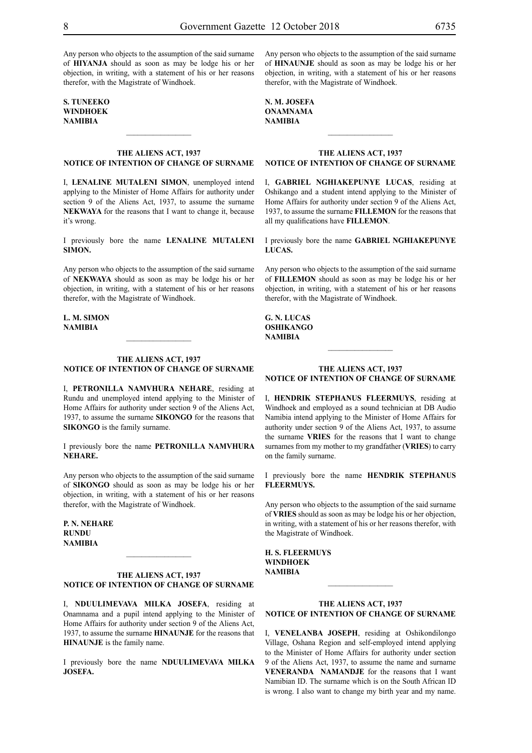Any person who objects to the assumption of the said surname of **HIYANJA** should as soon as may be lodge his or her objection, in writing, with a statement of his or her reasons therefor, with the Magistrate of Windhoek.

**s. tuneeko windhoek NAMIBIA**

## **THE ALIENS ACT, 1937 NOTICE OF INTENTION OF CHANGE OF SURNAME**

 $\frac{1}{2}$ 

I, **lenaline mutaleni simon**, unemployed intend applying to the Minister of Home Affairs for authority under section 9 of the Aliens Act, 1937, to assume the surname **NEKWAYA** for the reasons that I want to change it, because it's wrong.

I previously bore the name **lenaline mutaleni simon.**

Any person who objects to the assumption of the said surname of **nekwaya** should as soon as may be lodge his or her objection, in writing, with a statement of his or her reasons therefor, with the Magistrate of Windhoek.

**l. m. simon NAMIBIA**

## **THE ALIENS ACT, 1937 NOTICE OF INTENTION OF CHANGE OF SURNAME**

I, **Petronilla Namvhura nehare**, residing at Rundu and unemployed intend applying to the Minister of Home Affairs for authority under section 9 of the Aliens Act, 1937, to assume the surname **sikongo** for the reasons that **SIKONGO** is the family surname.

I previously bore the name **Petronilla Namvhura nehare.**

Any person who objects to the assumption of the said surname of **sikongo** should as soon as may be lodge his or her objection, in writing, with a statement of his or her reasons therefor, with the Magistrate of Windhoek.

**P. N. nehare rundu NAMIBIA**

## **THE ALIENS ACT, 1937 NOTICE OF INTENTION OF CHANGE OF SURNAME**

 $\mathcal{L}_\text{max}$ 

I, **nduulimevava milka josefa**, residing at Onamnama and a pupil intend applying to the Minister of Home Affairs for authority under section 9 of the Aliens Act, 1937, to assume the surname **HINAUNJE** for the reasons that **HINAUNJE** is the family name.

I previously bore the name **NDUULIMEVAVA MILKA josefa.**

Any person who objects to the assumption of the said surname of **HINAUNJE** should as soon as may be lodge his or her objection, in writing, with a statement of his or her reasons therefor, with the Magistrate of Windhoek.

**n. m. josefa onamnama NAMIBIA**

#### **THE ALIENS ACT, 1937 NOTICE OF INTENTION OF CHANGE OF SURNAME**

 $\frac{1}{2}$ 

I, **gabriel nghiakepunye lucas**, residing at Oshikango and a student intend applying to the Minister of Home Affairs for authority under section 9 of the Aliens Act, 1937, to assume the surname **fillemon** for the reasons that all my qualifications have **FILLEMON**.

I previously bore the name **gabriel nghiakepunye lucas.**

Any person who objects to the assumption of the said surname of **fillemon** should as soon as may be lodge his or her objection, in writing, with a statement of his or her reasons therefor, with the Magistrate of Windhoek.

## **g. N. lucas OSHIKANGO NAMIBIA**

## **THE ALIENS ACT, 1937 NOTICE OF INTENTION OF CHANGE OF SURNAME**

 $\frac{1}{2}$ 

I, **HENDRIK STEPHANUS FLEERMUYS**, residing at Windhoek and employed as a sound technician at DB Audio Namibia intend applying to the Minister of Home Affairs for authority under section 9 of the Aliens Act, 1937, to assume the surname **VRIES** for the reasons that I want to change surnames from my mother to my grandfather (**VRIES**) to carry on the family surname.

I previously bore the name **HENDRIK STEPHANUS FLEERMUYS.**

Any person who objects to the assumption of the said surname of **VRIES** should as soon as may be lodge his or her objection, in writing, with a statement of his or her reasons therefor, with the Magistrate of Windhoek.

**H. S. FLEERMUYS windhoek NAMIBIA**

#### **THE ALIENS ACT, 1937 NOTICE OF INTENTION OF CHANGE OF SURNAME**

 $\frac{1}{2}$ 

I, **venelanba Joseph**, residing at Oshikondilongo Village, Oshana Region and self-employed intend applying to the Minister of Home Affairs for authority under section 9 of the Aliens Act, 1937, to assume the name and surname **VENERANDA** NAMANDJE for the reasons that I want Namibian ID. The surname which is on the South African ID is wrong. I also want to change my birth year and my name.